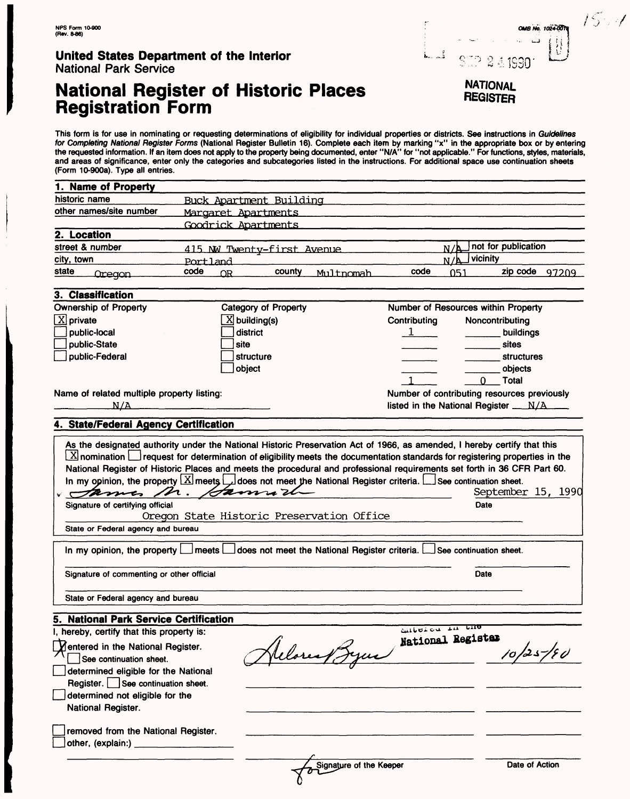# **National Register of Historic Places Registration Form**

|  |                     | OMB No. 1024-0078                                       |
|--|---------------------|---------------------------------------------------------|
|  |                     | $\begin{bmatrix} 1 & 1 \\ 1 & 1 \\ 1 & 1 \end{bmatrix}$ |
|  | $S^{772}$ 2 4 1990. |                                                         |

 $15/4$ 

**NATIONAL REGISTER**

**This form is for use in nominating or requesting determinations of eligibility for individual properties or districts. See instructions in Guidelines for Completing National Register Forms (National Register Bulletin 16). Complete each item by marking "x" in the appropriate box or by entering the requested information. If an item does not apply to the property being documented, enter "N/A" for "not applicable." For functions, styles, materials, and areas of significance, enter only the categories and subcategories listed in the instructions. For additional space use continuation sheets (Form 10-900a). Type all entries.**

| 1. Name of Property                                                                                                                                                                                                                                                                           |                                                                          |                             |                         |                                                                          |                                                                                            |
|-----------------------------------------------------------------------------------------------------------------------------------------------------------------------------------------------------------------------------------------------------------------------------------------------|--------------------------------------------------------------------------|-----------------------------|-------------------------|--------------------------------------------------------------------------|--------------------------------------------------------------------------------------------|
| historic name                                                                                                                                                                                                                                                                                 | Buck Apartment Building                                                  |                             |                         |                                                                          |                                                                                            |
| other names/site number                                                                                                                                                                                                                                                                       | Margaret Apartments                                                      |                             |                         |                                                                          |                                                                                            |
|                                                                                                                                                                                                                                                                                               | Goodrick Apartments                                                      |                             |                         |                                                                          |                                                                                            |
| 2. Location                                                                                                                                                                                                                                                                                   |                                                                          |                             |                         |                                                                          |                                                                                            |
| street & number                                                                                                                                                                                                                                                                               | 415 NW Twenty-first Avenue                                               |                             |                         | $N/\Delta$                                                               | not for publication<br>vicinity                                                            |
| city, town                                                                                                                                                                                                                                                                                    | Portland<br>code                                                         |                             |                         |                                                                          | N/A                                                                                        |
| state<br><b>Oregon</b>                                                                                                                                                                                                                                                                        | $\overline{OR}$                                                          | county                      | Multnomah               | code                                                                     | zip code 97209<br>051                                                                      |
| 3. Classification                                                                                                                                                                                                                                                                             |                                                                          |                             |                         |                                                                          |                                                                                            |
| <b>Ownership of Property</b>                                                                                                                                                                                                                                                                  |                                                                          | <b>Category of Property</b> |                         |                                                                          | Number of Resources within Property                                                        |
| $X$ private                                                                                                                                                                                                                                                                                   | $X$ building(s)                                                          |                             |                         | Contributing                                                             | Noncontributing                                                                            |
| public-local                                                                                                                                                                                                                                                                                  | district                                                                 |                             |                         | $1 \quad -$                                                              | buildings                                                                                  |
| public-State                                                                                                                                                                                                                                                                                  | site                                                                     |                             |                         |                                                                          | sites                                                                                      |
| public-Federal                                                                                                                                                                                                                                                                                | structure                                                                |                             |                         |                                                                          | <b>structures</b>                                                                          |
|                                                                                                                                                                                                                                                                                               | object                                                                   |                             |                         |                                                                          | objects                                                                                    |
|                                                                                                                                                                                                                                                                                               |                                                                          |                             |                         |                                                                          | 0 Total                                                                                    |
| Name of related multiple property listing:<br>N/A                                                                                                                                                                                                                                             |                                                                          |                             |                         |                                                                          | Number of contributing resources previously<br>listed in the National Register ___ N/A____ |
| 4. State/Federal Agency Certification                                                                                                                                                                                                                                                         |                                                                          |                             |                         |                                                                          |                                                                                            |
|                                                                                                                                                                                                                                                                                               |                                                                          |                             |                         |                                                                          |                                                                                            |
| In my opinion, the property $\boxtimes$ meets $\bigcup$ does not meet the National Register criteria. $\Box$ See continuation sheet.<br>$\boldsymbol{\mathscr{P}}$ .<br>fame,<br>Signature of certifying official<br>State or Federal agency and bureau<br>In my opinion, the property $\Box$ | Oregon State Historic Preservation Office<br>$\lfloor$ meets $\lfloor\_$ | Hamith                      |                         | does not meet the National Register criteria. Luisee continuation sheet. | September 15, 1990<br>Date                                                                 |
| Signature of commenting or other official                                                                                                                                                                                                                                                     |                                                                          |                             |                         |                                                                          | Date                                                                                       |
| State or Federal agency and bureau                                                                                                                                                                                                                                                            |                                                                          |                             |                         |                                                                          |                                                                                            |
|                                                                                                                                                                                                                                                                                               |                                                                          |                             |                         |                                                                          |                                                                                            |
| 5. National Park Service Certification<br>I, hereby, certify that this property is:                                                                                                                                                                                                           |                                                                          |                             |                         |                                                                          | ᠊ᡨᡆ<br>$\pm$ $\pm$ $\pm$                                                                   |
| Mentered in the National Register.<br>See continuation sheet.<br>determined eligible for the National<br>Register. See continuation sheet.<br>determined not eligible for the<br>National Register.<br>removed from the National Register.                                                    |                                                                          |                             |                         | National Register                                                        | 10/25/90                                                                                   |
|                                                                                                                                                                                                                                                                                               |                                                                          |                             | Signature of the Keeper |                                                                          | Date of Action                                                                             |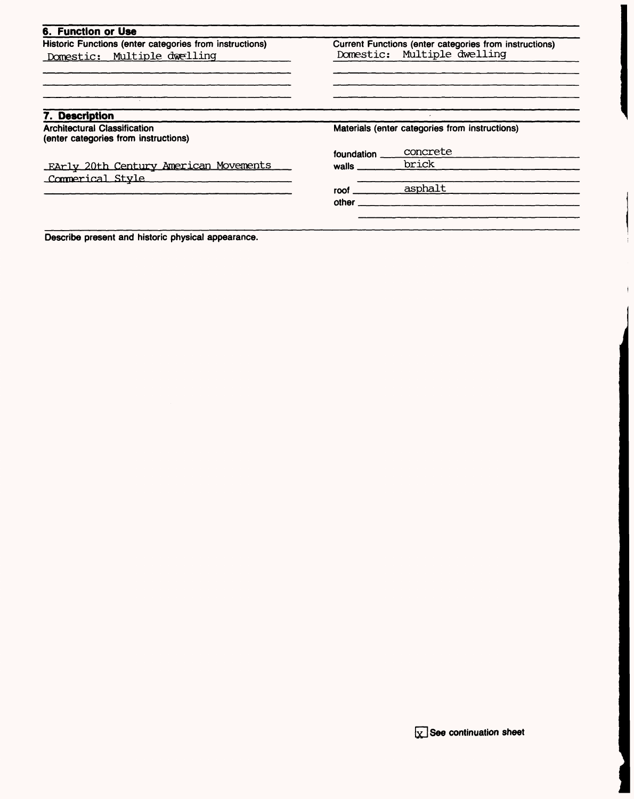| Historic Functions (enter categories from instructions)                     | Current Functions (enter categories from instructions)                                                                                                                                                                         |                                                                                                                |  |
|-----------------------------------------------------------------------------|--------------------------------------------------------------------------------------------------------------------------------------------------------------------------------------------------------------------------------|----------------------------------------------------------------------------------------------------------------|--|
| Domestic: Multiple dwelling                                                 |                                                                                                                                                                                                                                | Domestic: Multiple dwelling                                                                                    |  |
|                                                                             |                                                                                                                                                                                                                                |                                                                                                                |  |
|                                                                             |                                                                                                                                                                                                                                |                                                                                                                |  |
| 7. Description                                                              |                                                                                                                                                                                                                                |                                                                                                                |  |
| <b>Architectural Classification</b><br>(enter categories from instructions) | Materials (enter categories from instructions)                                                                                                                                                                                 |                                                                                                                |  |
|                                                                             | foundation                                                                                                                                                                                                                     | concrete                                                                                                       |  |
| FArly 20th Century American Movements<br>Commerical Style                   | walls in the monomer of the monomer of the set of the set of the set of the set of the set of the set of the set of the set of the set of the set of the set of the set of the set of the set of the set of the set of the set | brick                                                                                                          |  |
|                                                                             | roof to the control of the control of the control of the control of the control of the control of the control o                                                                                                                | asphalt                                                                                                        |  |
|                                                                             |                                                                                                                                                                                                                                | other than the contract of the contract of the contract of the contract of the contract of the contract of the |  |
|                                                                             |                                                                                                                                                                                                                                |                                                                                                                |  |
|                                                                             |                                                                                                                                                                                                                                |                                                                                                                |  |

 $\mathfrak{f}% _{0}$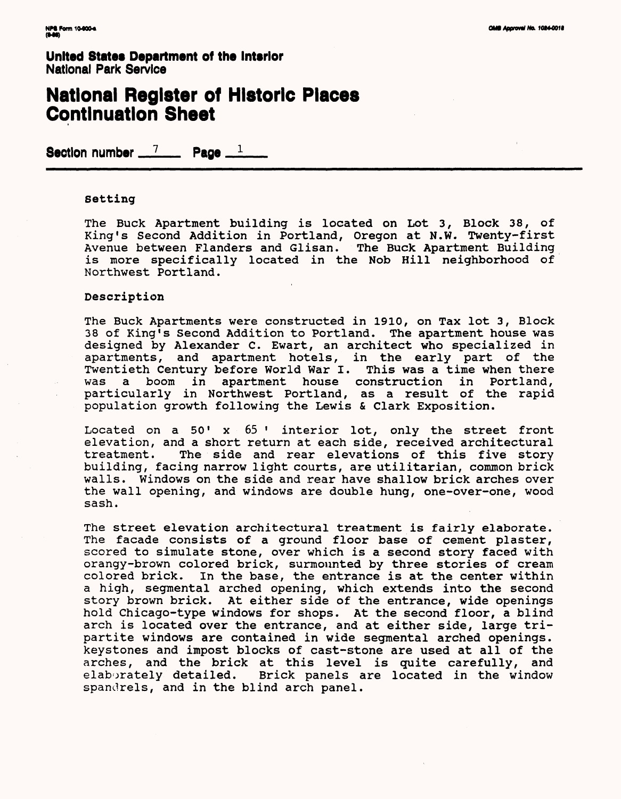### **National Register of Historic Places Continuation Sheet**

Section number  $\frac{7}{2}$  Page  $\frac{1}{2}$ 

#### Setting

The Buck Apartment building is located on Lot 3, Block 38, of King's Second Addition in Portland, Oregon at N.W. Twenty-first Avenue between Flanders and Glisan. The Buck Apartment Building is more specifically located in the Nob Hill neighborhood of Northwest Portland.

#### Description

The Buck Apartments were constructed in 1910, on Tax lot 3, Block 38 of King's Second Addition to Portland. The apartment house was designed by Alexander C. Ewart, an architect who specialized in apartments, and apartment hotels, in the early part of the Twentieth Century before World War I. This was a time when there was a boom in apartment house construction in Portland, particularly in Northwest Portland, as a result of the rapid population growth following the Lewis & Clark Exposition.

Located on a 50' x 65 ' interior lot, only the street front elevation, and a short return at each side, received architectural treatment. The side and rear elevations of this five story building, facing narrow light courts, are utilitarian, common brick walls. Windows on the side and rear have shallow brick arches over the wall opening, and windows are double hung, one-over-one, wood sash.

The street elevation architectural treatment is fairly elaborate. The facade consists of a ground floor base of cement plaster, scored to simulate stone, over which is a second story faced with orangy-brown colored brick, surmounted by three stories of cream colored brick. In the base, the entrance is at the center within a high, segmental arched opening, which extends into the second story brown brick. At either side of the entrance, wide openings hold Chicago-type windows for shops. At the second floor, a blind arch is located over the entrance, and at either side, large tripartite windows are contained in wide segmental arched openings, keystones and impost blocks of cast-stone are used at all of the arches, and the brick at this level is quite carefully, and elaborately detailed. Brick panels are located in the window spandrels, and in the blind arch panel.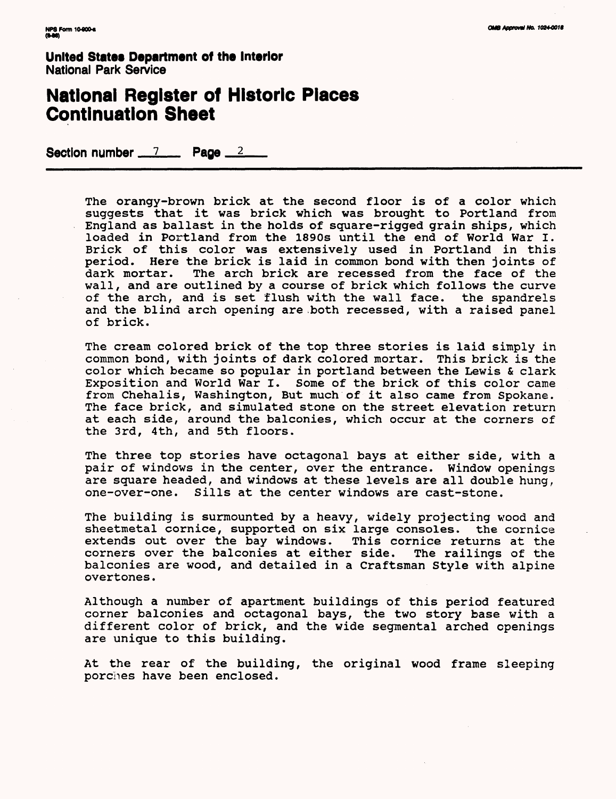### **National Register of Historic Places Continuation Sheet**

Section number  $\frac{7}{2}$  Page  $\frac{2}{2}$ 

The orangy-brown brick at the second floor is of a color which suggests that it was brick which was brought to Portland from England as ballast in the holds of square-rigged grain ships, which loaded in Portland from the 1890s until the end of World War I. Brick of this color was extensively used in Portland in this period. Here the brick is laid in common bond with then joints of dark mortar. The arch brick are recessed from the face of the The arch brick are recessed from the face of the wall, and are outlined by a course of brick which follows the curve of the arch, and is set flush with the wall face, the spandrels and the blind arch opening are both recessed, with a raised panel of brick.

The cream colored brick of the top three stories is laid simply in common bond, with joints of dark colored mortar. This brick is the color which became so popular in portland between the Lewis & clark Exposition and World War I. Some of the brick of this color came from Chehalis, Washington, But much of it also came from Spokane. The face brick, and simulated stone on the street elevation return at each side, around the balconies, which occur at the corners of the 3rd, 4th, and 5th floors.

The three top stories have octagonal bays at either side, with a pair of windows in the center, over the entrance. Window openings are square headed, and windows at these levels are all double hung, one-over-one. Sills at the center windows are cast-stone.

The building is surmounted by a heavy, widely projecting wood and sheetmetal cornice, supported on six large consoles, the cornice extends out over the bay windows. This cornice returns at the corners over the balconies at either side. The railings of the balconies are wood, and detailed in a Craftsman Style with alpine overtones.

Although a number of apartment buildings of this period featured corner balconies and octagonal bays, the two story base with a different color of brick, and the wide segmental arched openings are unique to this building.

At the rear of the building, the original wood frame sleeping porches have been enclosed.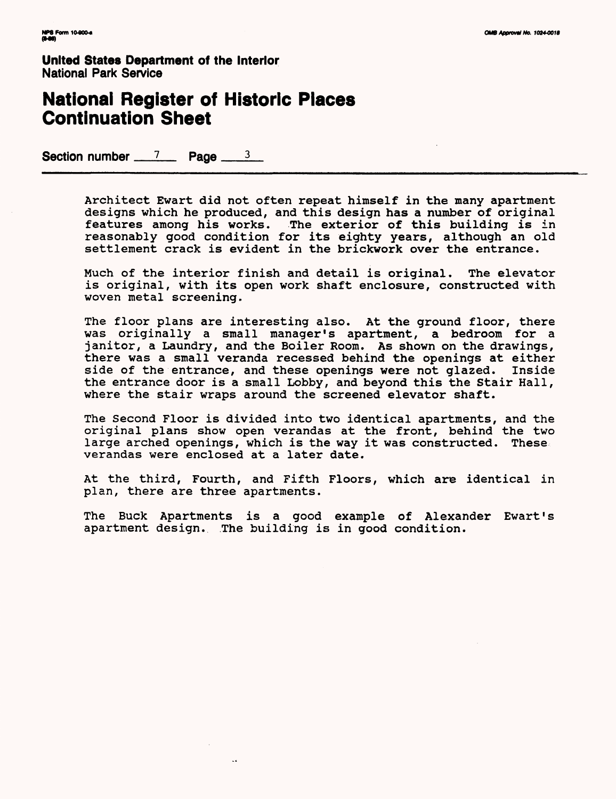### **National Register of Historic Places Continuation Sheet**

Section number  $\frac{7}{2}$  Page  $\frac{3}{2}$ 

Architect Ewart did not often repeat himself in the many apartment designs which he produced, and this design has a number of original features among his works. The exterior of this building is in reasonably good condition for its eighty years, although an old settlement crack is evident in the brickwork over the entrance.

Much of the interior finish and detail is original. The elevator is original, with its open work shaft enclosure, constructed with woven metal screening.

The floor plans are interesting also. At the ground floor, there was originally a small manager's apartment, a bedroom for a janitor, a Laundry, and the Boiler Room. As shown on the drawings, there was a small veranda recessed behind the openings at either side of the entrance, and these openings were not glazed. Inside the entrance door is a small Lobby, and beyond this the Stair Hall, where the stair wraps around the screened elevator shaft.

The Second Floor is divided into two identical apartments, and the original plans show open verandas at the front, behind the two large arched openings, which is the way it was constructed. These verandas were enclosed at a later date.

At the third, Fourth, and Fifth Floors, which are identical in plan, there are three apartments.

The Buck Apartments is a good example of Alexander Ewart's apartment design. The building is in good condition.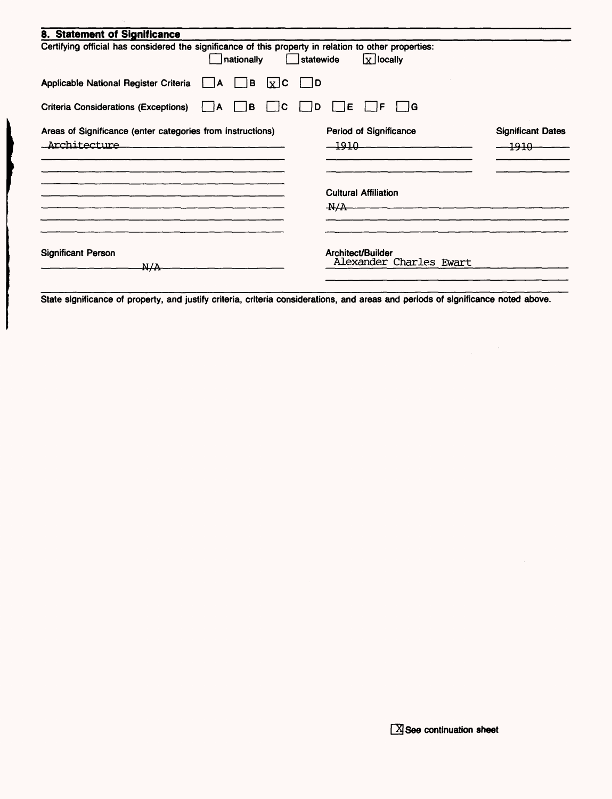| 8. Statement of Significance                                                                                                                                                                        |                                                   |                                     |
|-----------------------------------------------------------------------------------------------------------------------------------------------------------------------------------------------------|---------------------------------------------------|-------------------------------------|
| Certifying official has considered the significance of this property in relation to other properties:<br>nationally                                                                                 | $x$ locally<br>statewide                          |                                     |
| Applicable National Register Criteria   A<br>$\Box$ B $\boxed{X}$ C $\Box$ D                                                                                                                        |                                                   |                                     |
| ١c<br><b>Criteria Considerations (Exceptions)</b><br>B<br>$\vert$ $\vert$ $\vert$ $\vert$ $\vert$                                                                                                   | - IG<br>İΕ<br>D<br>IF                             |                                     |
| Areas of Significance (enter categories from instructions)<br>Architecture<br><u> 2000 - Jan James James James James James James James James James James James James James James James James Ja</u> | Period of Significance<br>—1910 — — — — — — — — — | <b>Significant Dates</b><br>-1910 - |
|                                                                                                                                                                                                     | <b>Cultural Affiliation</b><br>$N/\Lambda$        |                                     |
| <b>Significant Person</b><br>$\mathbf{N}/\mathbf{A}$                                                                                                                                                | Architect/Builder<br>Alexander Charles Ewart      |                                     |

State significance of property, and justify criteria, criteria considerations, and areas and periods of significance noted above.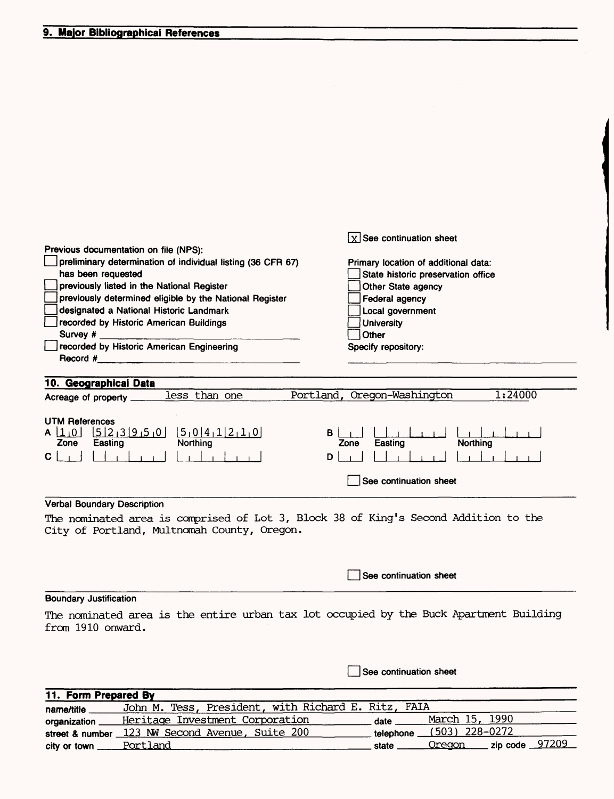| Previous documentation on file (NPS):<br>preliminary determination of individual listing (36 CFR 67)<br>has been requested<br>previously listed in the National Register<br>previously determined eligible by the National Register<br>designated a National Historic Landmark<br>recorded by Historic American Buildings<br>Survey #<br>recorded by Historic American Engineering<br>Record # | $\boxed{\mathrm{X}}$ See continuation sheet<br>Primary location of additional data:<br>State historic preservation office<br>Other State agency<br>Federal agency<br>Local government<br><b>University</b><br>Other<br>Specify repository: |
|------------------------------------------------------------------------------------------------------------------------------------------------------------------------------------------------------------------------------------------------------------------------------------------------------------------------------------------------------------------------------------------------|--------------------------------------------------------------------------------------------------------------------------------------------------------------------------------------------------------------------------------------------|
| 10. Geographical Data                                                                                                                                                                                                                                                                                                                                                                          |                                                                                                                                                                                                                                            |
| less than one<br>Acreage of property _____                                                                                                                                                                                                                                                                                                                                                     | Portland, Oregon-Washington<br>1:24000                                                                                                                                                                                                     |
|                                                                                                                                                                                                                                                                                                                                                                                                |                                                                                                                                                                                                                                            |
| <b>UTM References</b><br>[5,0]4,1[2,1,0]<br>$5$   2   3   9   5   0  <br>$A$ $ 1_10 $<br>Zone<br>Easting<br>Northing<br>$\mathsf{C}$                                                                                                                                                                                                                                                           | в<br>Northing<br>Easting<br>Zone<br>D<br>See continuation sheet                                                                                                                                                                            |
| <b>Verbal Boundary Description</b>                                                                                                                                                                                                                                                                                                                                                             |                                                                                                                                                                                                                                            |
| The nominated area is comprised of Lot 3, Block 38 of King's Second Addition to the<br>City of Portland, Multnomah County, Oregon.                                                                                                                                                                                                                                                             |                                                                                                                                                                                                                                            |
|                                                                                                                                                                                                                                                                                                                                                                                                | See continuation sheet                                                                                                                                                                                                                     |
| <b>Boundary Justification</b>                                                                                                                                                                                                                                                                                                                                                                  |                                                                                                                                                                                                                                            |
| The nominated area is the entire urban tax lot occupied by the Buck Apartment Building<br>from 1910 onward.                                                                                                                                                                                                                                                                                    |                                                                                                                                                                                                                                            |
|                                                                                                                                                                                                                                                                                                                                                                                                | See continuation sheet                                                                                                                                                                                                                     |
| 44.<br>Earm Dranorad Du                                                                                                                                                                                                                                                                                                                                                                        |                                                                                                                                                                                                                                            |

| <b>II. FUIII FIEUAIEU DY</b> |                                                     |       |                           |  |
|------------------------------|-----------------------------------------------------|-------|---------------------------|--|
| name/title                   | John M. Tess, President, with Richard E. Ritz, FAIA |       |                           |  |
|                              | organization _____Heritage Investment Corporation   | date  | March 15, 1990            |  |
|                              | street & number 123 NW Second Avenue, Suite 200     |       | telephone (503) 228-0272  |  |
| city or town <u>Portland</u> |                                                     | state | $Oregon$ zip code $97209$ |  |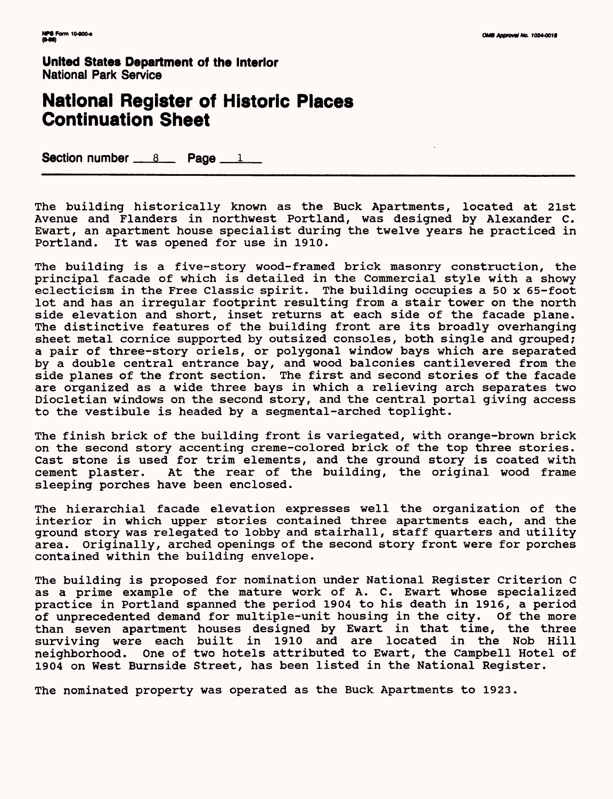## **National Register of Historic Places Continuation Sheet**

Section number  $8 \times 1$ 

The building historically known as the Buck Apartments, located at 21st Avenue and Flanders in northwest Portland, was designed by Alexander C. Ewart, an apartment house specialist during the twelve years he practiced in It was opened for use in 1910.

The building is a five-story wood-framed brick masonry construction, the principal facade of which is detailed in the Commercial style with a showy eclecticism in the Free Classic spirit. The building occupies a 50 x 65-foot lot and has an irregular footprint resulting from a stair tower on the north side elevation and short, inset returns at each side of the facade plane. The distinctive features of the building front are its broadly overhanging sheet metal cornice supported by outsized consoles, both single and grouped; a pair of three-story oriels, or polygonal window bays which are separated by a double central entrance bay, and wood balconies cantilevered from the side planes of the front section. The first and second stories of the facade are organized as a wide three bays in which a relieving arch separates two Diocletian windows on the second story, and the central portal giving access to the vestibule is headed by a segmental-arched toplight.

The finish brick of the building front is variegated, with orange-brown brick on the second story accenting creme-colored brick of the top three stories. Cast stone is used for trim elements, and the ground story is coated with cement plaster. At the rear of the building, the original wood frame sleeping porches have been enclosed.

The hierarchial facade elevation expresses well the organization of the interior in which upper stories contained three apartments each, and the ground story was relegated to lobby and stairhall, staff quarters and utility area. Originally, arched openings of the second story front were for porches contained within the building envelope.

The building is proposed for nomination under National Register Criterion C as a prime example of the mature work of A. C. Ewart whose specialized practice in Portland spanned the period 1904 to his death in 1916, a period of unprecedented demand for multiple-unit housing in the city. Of the more than seven apartment houses designed by Ewart in that time, the three surviving were each built in 1910 and are located in the Nob Hill neighborhood. One of two hotels attributed to Ewart, the Campbell Hotel of 1904 on West Burnside Street, has been listed in the National Register.

The nominated property was operated as the Buck Apartments to 1923.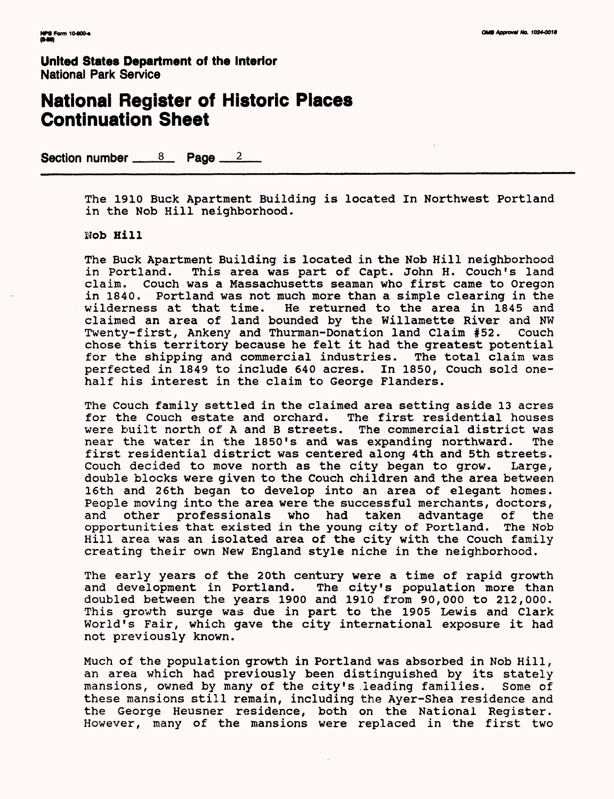## **National Register of Historic Places Continuation Sheet**

Section number  $8$  Page  $2$ 

The 1910 Buck Apartment Building is located In Northwest Portland in the Nob Hill neighborhood.

**Hob Hill**

The Buck Apartment Building is located in the Nob Hill neighborhood in Portland. This area was part of Capt. John H. Couch's land claim. Couch was a Massachusetts seaman who first came to Oregon in 1840. Portland was not much more than a simple clearing in the wilderness at that time. He returned to the area in 1845 and claimed an area of land bounded by the Willamette River and NW<br>Twenty-first, Ankeny and Thurman-Donation land Claim #52. Couch Twenty-first, Ankeny and Thurman-Donation land Claim #52. chose this territory because he felt it had the greatest potential for the shipping and commercial industries. The total claim was perfected in 1849 to include 640 acres. In 1850, Couch sold onehalf his interest in the claim to George Flanders.

The Couch family settled in the claimed area setting aside 13 acres for the Couch estate and orchard. The first residential houses were built north of A and B streets. The commercial district was near the water in the 1850's and was expanding northward. The near the water in the 1850's and was expanding northward. first residential district was centered along 4th and 5th streets. Couch decided to move north as the city began to grow. Large, double blocks were given to the Couch children and the area between 16th and 26th began to develop into an area of elegant homes. People moving into the area were the successful merchants, doctors,<br>and other professionals who had taken advantage of the and other professionals who had taken advantage of the opportunities that existed in the young city of Portland. The Nob Hill area was an isolated area of the city with the Couch family creating their own New England style niche in the neighborhood.

The early years of the 20th century were a time of rapid growth and development in Portland. The city's population more than doubled between the years 1900 and 1910 from 90,000 to 212,000. This growth surge was due in part to the 1905 Lewis and Clark World's Fair, which gave the city international exposure it had not previously known.

Much of the population growth in Portland was absorbed in Nob Hill, an area which had previously been distinguished by its stately mansions, owned by many of the city's .leading families. Some of these mansions still remain, including the Ayer-Shea residence and the George Heusner residence, both on the National Register. However, many of the mansions were replaced in the first two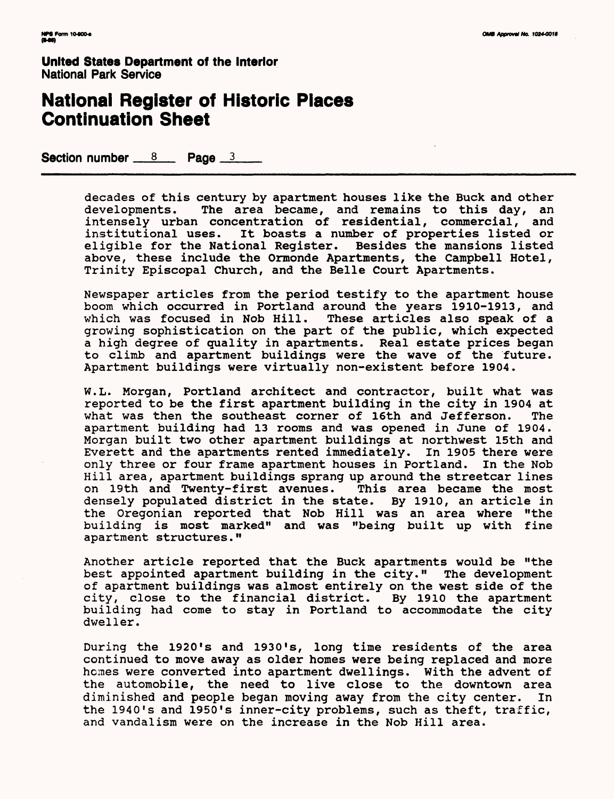### **National Register of Historic Places Continuation Sheet**

Section number  $8 \times 10^{-3}$  Page  $3 \times 10^{-3}$ 

decades of this century by apartment houses like the Buck and other developments. The area became, and remains to this day, an The area became, and remains to this day, an intensely urban concentration of residential, commercial, and institutional uses. It boasts a number of properties listed or eligible for the National Register. Besides the mansions listed above, these include the Ormonde Apartments, the Campbell Hotel, Trinity Episcopal Church, and the Belle Court Apartments.

Newspaper articles from the period testify to the apartment house boom which occurred in Portland around the years 1910-1913, and which was focused in Nob Hill. These articles also speak of a growing sophistication on the part of the public, which expected a high degree of quality in apartments. Real estate prices began to climb and apartment buildings were the wave of the future. Apartment buildings were virtually non-existent before 1904.

W.L. Morgan, Portland architect and contractor, built what was reported to be the first apartment building in the city in 1904 at what was then the southeast corner of 16th and Jefferson. The apartment building had 13 rooms and was opened in June of 1904. Morgan built two other apartment buildings at northwest 15th and Everett and the apartments rented immediately. In 1905 there were only three or four frame apartment houses in Portland. In the Nob Hill area, apartment buildings sprang up around the streetcar lines on 19th and Twenty-first avenues. This area became the most densely populated district in the state. By 1910, an article in the Oregonian reported that Nob Hill was an area where "the building is most marked" and was "being built up with fine apartment structures."

Another article reported that the Buck apartments would be "the best appointed apartment building in the city." The development of apartment buildings was almost entirely on the west side of the city, close to the financial district. By 1910 the apartment building had come to stay in Portland to accommodate the city dweller.

During the 1920's and 1930's, long time residents of the area continued to move away as older homes were being replaced and more homes were converted into apartment dwellings. With the advent of the automobile, the need to live close to the downtown area diminished and people began moving away from the city center. In the 1940's and 1950's inner-city problems, such as theft, traffic, and vandalism were on the increase in the Nob Hill area.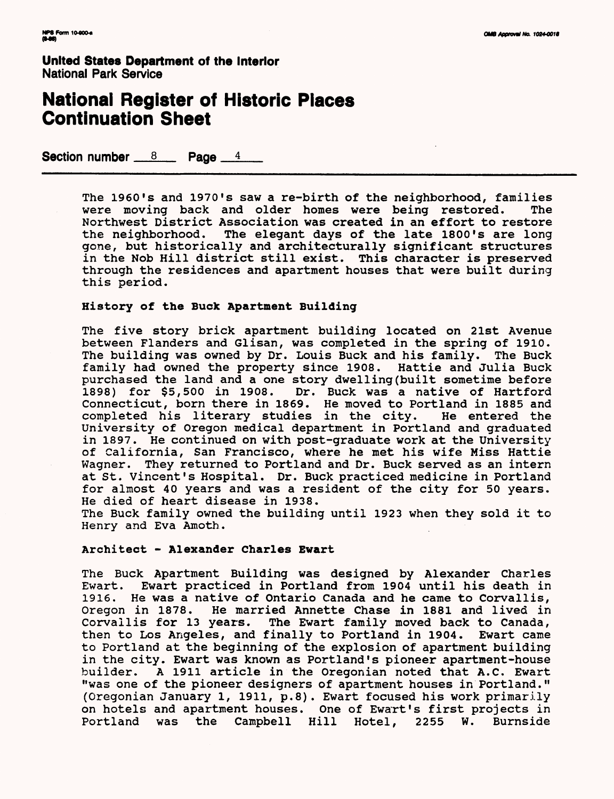### **National Register of Historic Places Continuation Sheet**

Section number  $8 \times 8$  Page  $4 \times 4$ 

The 1960's and 1970's saw a re-birth of the neighborhood, families were moving back and older homes were being restored. The Northwest District Association was created in an effort to restore the neighborhood. The elegant days of the late 1800's are long gone, but historically and architecturally significant structures in the Nob Hill district still exist. This character is preserved through the residences and apartment houses that were built during this period.

#### History of the Buck Apartment Building

The five story brick apartment building located on 21st Avenue between Flanders and Glisan, was completed in the spring of 1910. The building was owned by Dr. Louis Buck and his family. The Buck family had owned the property since 1908. Hattie and Julia Buck purchased the land and a one story dwelling(built sometime before 1898) for \$5,500 in 1908. Dr. Buck was a native of Hartford Connecticut, born there in 1869. He moved to Portland in 1885 and completed his literary studies in the city. He entered the University of Oregon medical department in Portland and graduated in 1897. He continued on with post-graduate work at the University of California, San Francisco, where he met his wife Miss Hattie Wagner. They returned to Portland and Dr. Buck served as an intern at St. Vincent's Hospital. Dr. Buck practiced medicine in Portland for almost 40 years and was a resident of the city for 50 years. He died of heart disease in 1938.

The Buck family owned the building until 1923 when they sold it to Henry and Eva Amoth.

#### Architect - Alexander Charles Ewart

The Buck Apartment Building was designed by Alexander Charles Ewart. Ewart practiced in Portland from 1904 until his death in 1916. He was a native of Ontario Canada and he came to Corvallis,<br>Oregon in 1878. He married Annette Chase in 1881 and lived in Oregon in 1878. He married Annette Chase in 1881 and lived in Corvallis for 13 years. The Ewart family moved back to Canada, The Ewart family moved back to Canada, then to Los Angeles, and finally to Portland in 1904. Ewart came to Portland at the beginning of the explosion of apartment building in the city. Ewart was known as Portland's pioneer apartment-house<br>builder. A 1911 article in the Oregonian noted that A.C. Ewart A 1911 article in the Oregonian noted that A.C. Ewart "was one of the pioneer designers of apartment houses in Portland." (Oregonian January 1, 1911, p.8). Ewart focused his work primarily on hotels and apartment houses. One of Ewart's first projects in Portland was the Campbell Hill Hotel, 2255 W. Burnside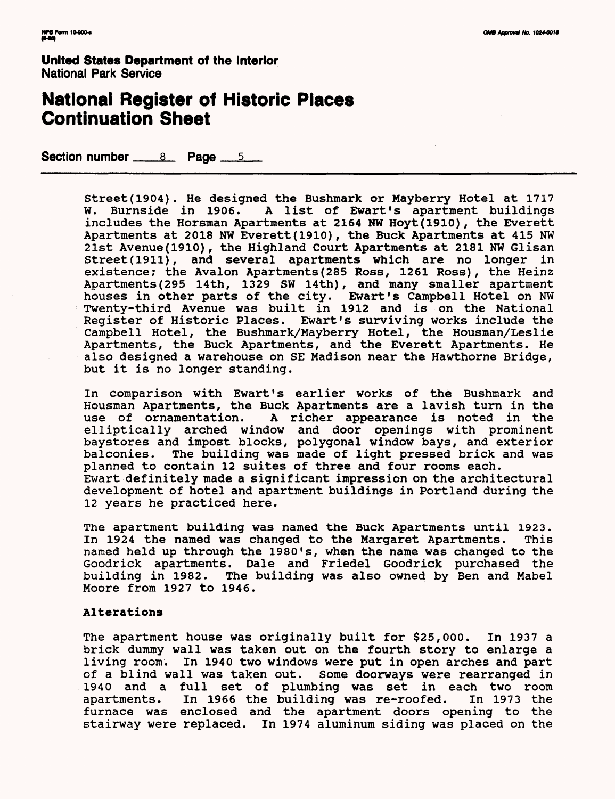## **National Register of Historic Places Continuation Sheet**

Section number 8 Page 5

Street(1904). He designed the Bushmark or Mayberry Hotel at 1717 W. Burnside in 1906. A list of Ewart's apartment buildings includes the Horsman Apartments at 2164 NW Hoyt(1910), the Everett Apartments at 2018 NW Everett(1910), the Buck Apartments at 415 NW 21st Avenue(1910), the Highland Court Apartments at 2181 NW Glisan Street(1911), and several apartments which are no longer in existence; the Avalon Apartments(285 Ross, 1261 Ross), the Heinz Apartments(295 14th, 1329 SW 14th), and many smaller apartment houses in other parts of the city. Ewart's Campbell Hotel on NW Twenty-third Avenue was built in 1912 and is on the National Register of Historic Places. Ewart's surviving works include the Campbell Hotel, the Bushmark/Mayberry Hotel, the Housman/Leslie Apartments, the Buck Apartments, and the Everett Apartments. He also designed a warehouse on SE Madison near the Hawthorne Bridge, but it is no longer standing.

In comparison with Ewart's earlier works of the Bushmark and Housman Apartments, the Buck Apartments are a lavish turn in the A richer appearance is noted in the elliptically arched window and door openings with prominent baystores and impost blocks, polygonal window bays, and exterior balconies. The building was made of light pressed brick and was planned to contain 12 suites of three and four rooms each. Ewart definitely made a significant impression on the architectural development of hotel and apartment buildings in Portland during the 12 years he practiced here.

The apartment building was named the Buck Apartments until 1923.<br>In 1924 the named was changed to the Margaret Apartments. This In 1924 the named was changed to the Margaret Apartments. named held up through the 1980's, when the name was changed to the Goodrick apartments. Dale and Friedel Goodrick purchased the building in 1982. The building was also owned by Ben and Mabel Moore from 1927 to 1946.

#### Alterations

The apartment house was originally built for \$25,000. In 1937 a brick dummy wall was taken out on the fourth story to enlarge a living room. In 1940 two windows were put in open arches and part of a blind wall was taken out. Some doorways were rearranged in 1940 and a full set of plumbing was set in each two room apartments. In 1966 the building was re-roofed. In 1973 the furnace was enclosed and the apartment doors opening to the stairway were replaced. In 1974 aluminum siding was placed on the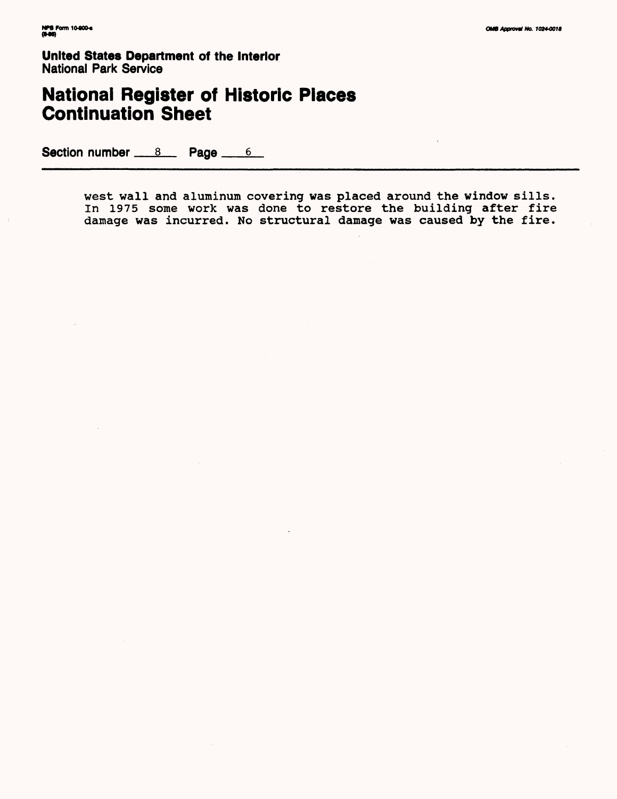## **National Register of Historic Places Continuation Sheet**

Section number  $8 \times 8$  Page  $6 \times 6$ 

west wall and aluminum covering was placed around the window sills. In 1975 some work was done to restore the building after fire damage was incurred. No structural damage was caused by the fire.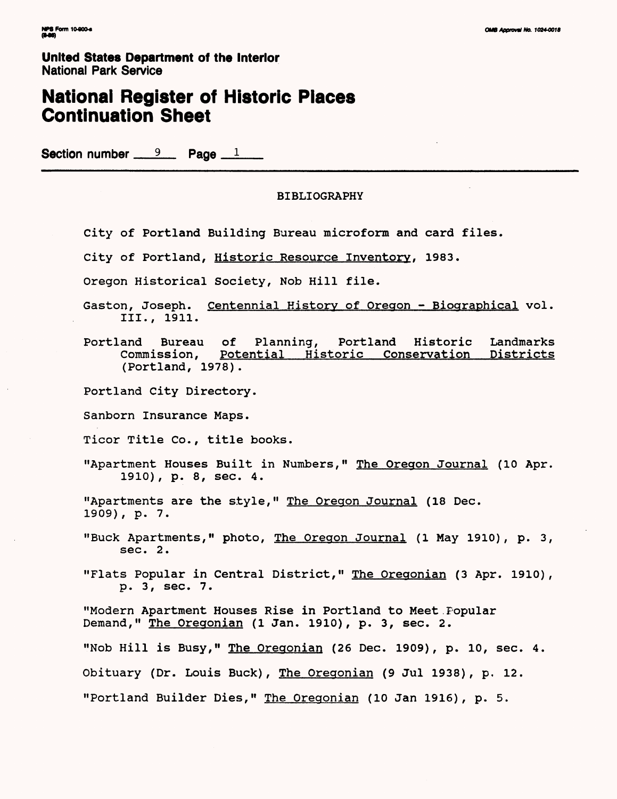### **National Register of Historic Places Continuation Sheet**

Section number  $9$  Page  $1$ 

#### BIBLIOGRAPHY

City of Portland Building Bureau microform and card files. City of Portland, Historic Resource Inventory. 1983. Oregon Historical Society, Nob Hill file. Gaston, Joseph. Centennial History of Oregon - Biographical vol. III., 1911. Portland Bureau of Planning, Portland Historic Landmarks Commission, Potential Historic Conservation Districts (Portland, 1978). Portland City Directory. Sanborn Insurance Maps. Ticor Title Co., title books. "Apartment Houses Built in Numbers," The Oregon Journal (10 Apr. 1910), p. 8, sec. 4. "Apartments are the style," The Oregon Journal (18 Dec. 1909), p. 7. "Buck Apartments," photo, The Oregon Journal (1 May 1910), p. 3, sec. 2. "Flats Popular in Central District," The Oregonian (3 Apr. 1910), p. 3, sec. 7. "Modern Apartment Houses Rise in Portland to Meet.Popular Demand," The Oregonian (1 Jan. 1910), p. 3, sec. 2. "Nob Hill is Busy," The Oregonian (26 Dec. 1909), p. 10, sec. 4. Obituary (Dr. Louis Buck), The Oregonian (9 Jul 1938), p. 12. "Portland Builder Dies," The Oregonian (10 Jan 1916), p. 5.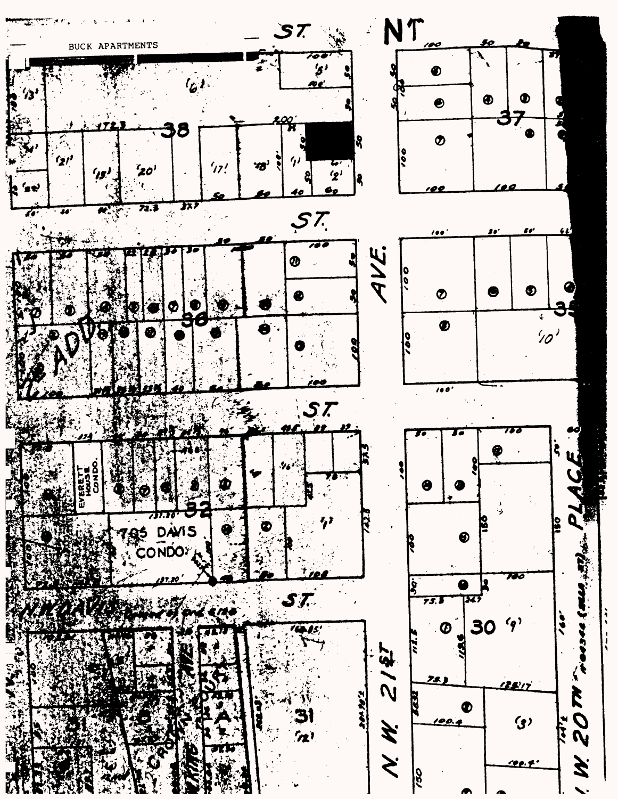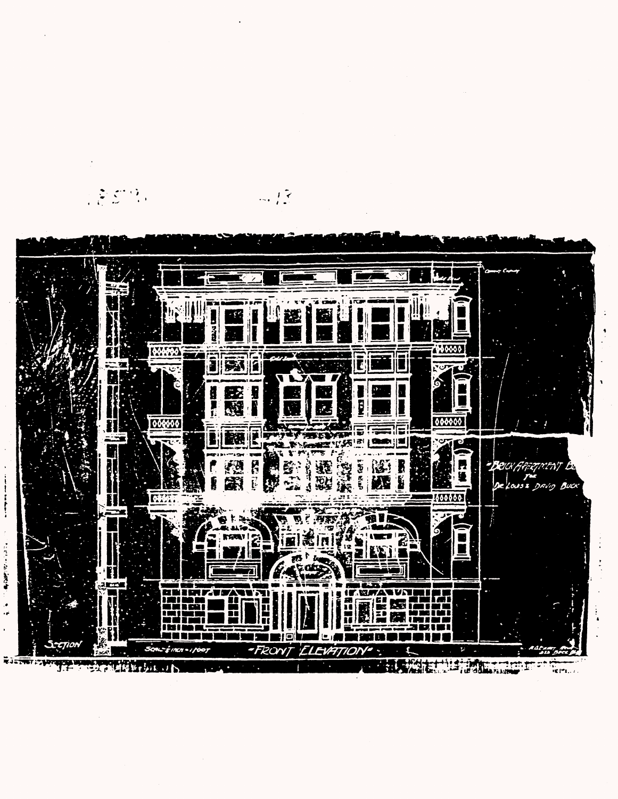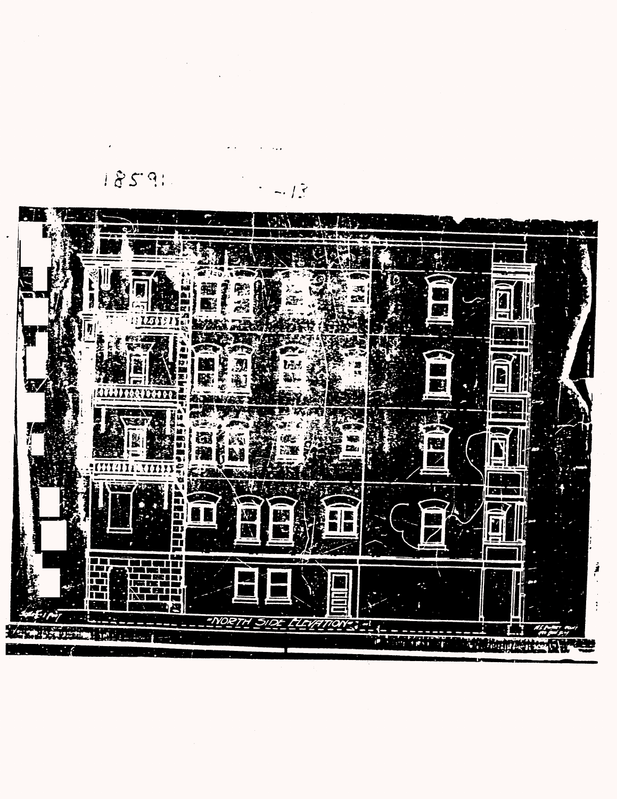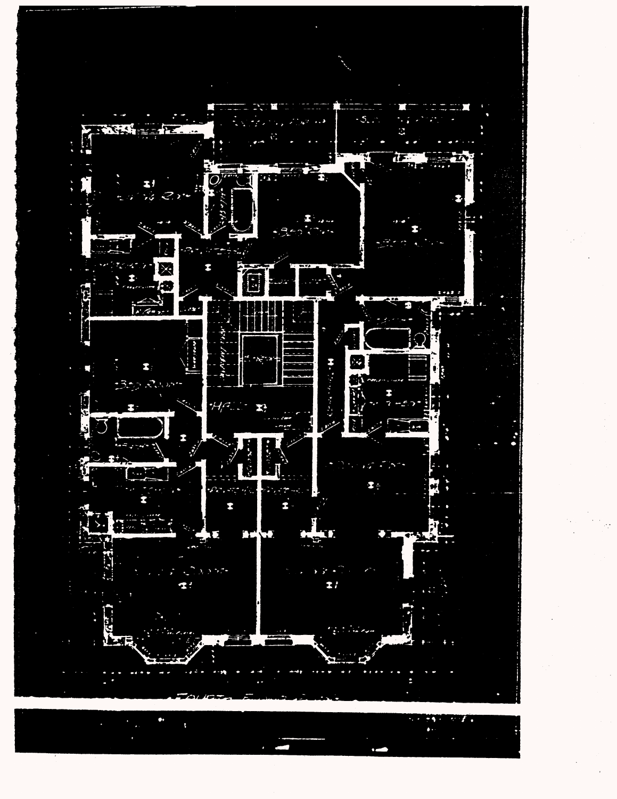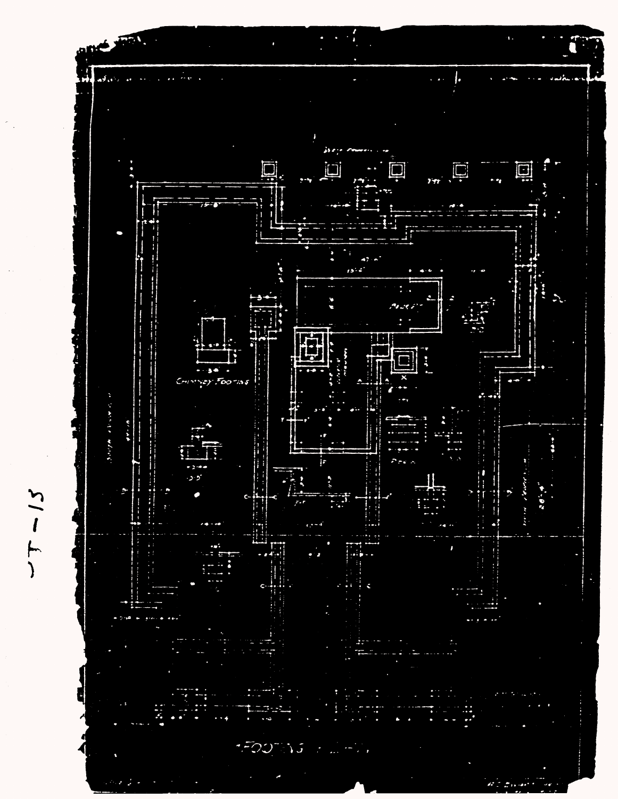

 $\tilde{\bm{\lambda}}$  $\frac{1}{\sqrt{1}}$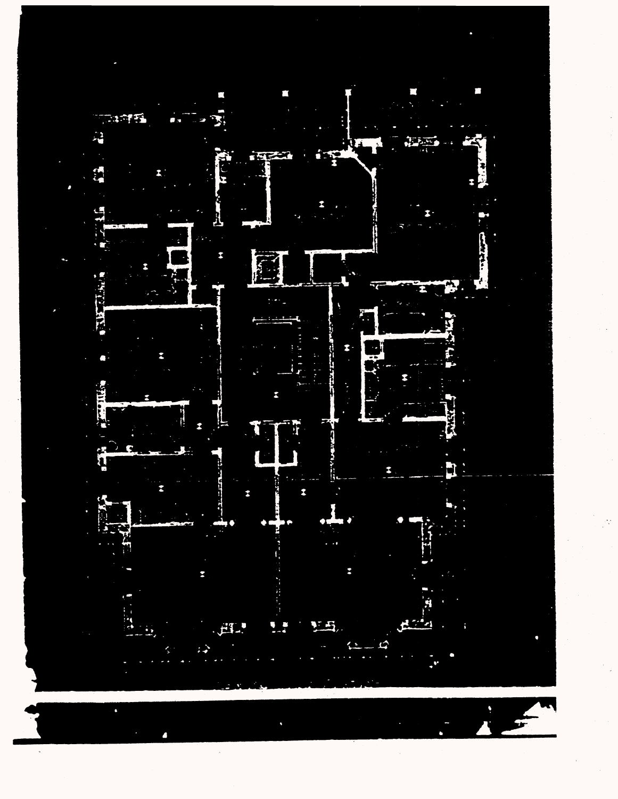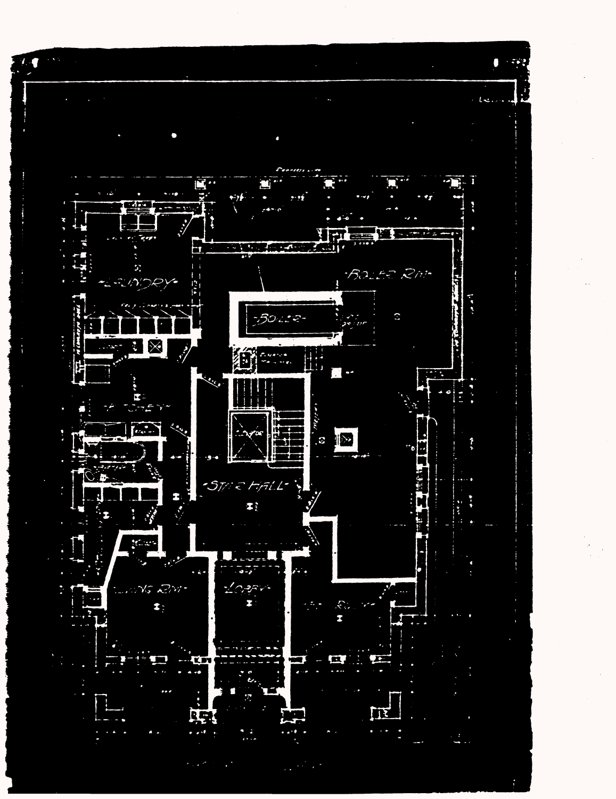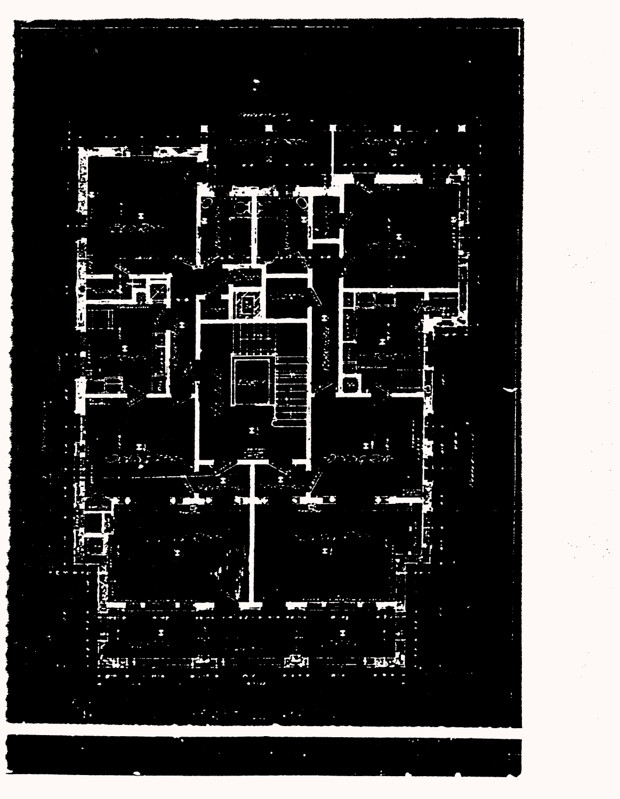